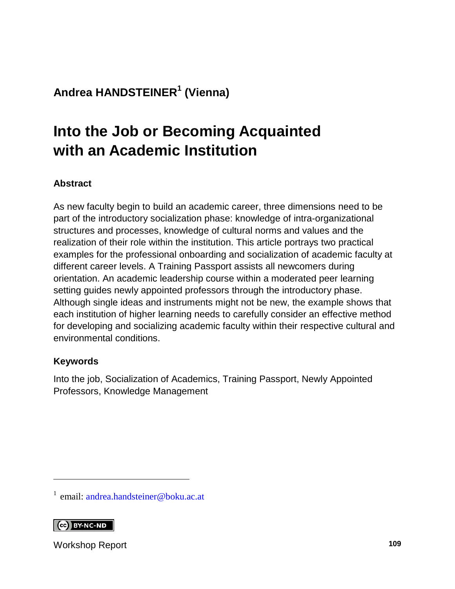### **Andrea HANDSTEINER<sup>1</sup> (Vienna)**

# **Into the Job or Becoming Acquainted with an Academic Institution**

#### **Abstract**

As new faculty begin to build an academic career, three dimensions need to be part of the introductory socialization phase: knowledge of intra-organizational structures and processes, knowledge of cultural norms and values and the realization of their role within the institution. This article portrays two practical examples for the professional onboarding and socialization of academic faculty at different career levels. A Training Passport assists all newcomers during orientation. An academic leadership course within a moderated peer learning setting guides newly appointed professors through the introductory phase. Although single ideas and instruments might not be new, the example shows that each institution of higher learning needs to carefully consider an effective method for developing and socializing academic faculty within their respective cultural and environmental conditions.

#### **Keywords**

Into the job, Socialization of Academics, Training Passport, Newly Appointed Professors, Knowledge Management

CO BY-NC-ND

l

Workshop Report **109**

<sup>&</sup>lt;sup>1</sup> email: [andrea.handsteiner@boku.ac.at](mailto:andrea.handsteiner@boku.ac.at)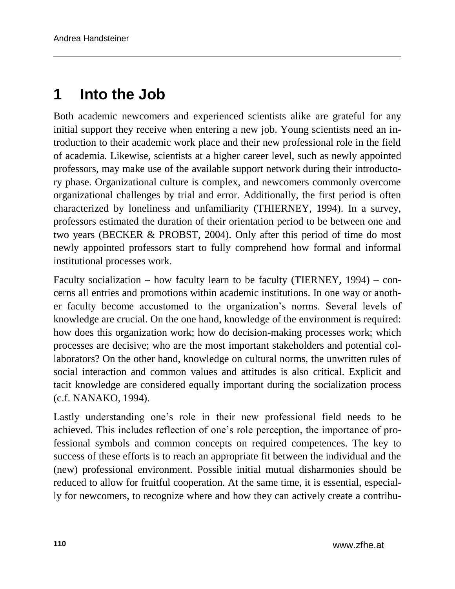## **1 Into the Job**

Both academic newcomers and experienced scientists alike are grateful for any initial support they receive when entering a new job. Young scientists need an introduction to their academic work place and their new professional role in the field of academia. Likewise, scientists at a higher career level, such as newly appointed professors, may make use of the available support network during their introductory phase. Organizational culture is complex, and newcomers commonly overcome organizational challenges by trial and error. Additionally, the first period is often characterized by loneliness and unfamiliarity (THIERNEY, 1994). In a survey, professors estimated the duration of their orientation period to be between one and two years (BECKER & PROBST, 2004). Only after this period of time do most newly appointed professors start to fully comprehend how formal and informal institutional processes work.

Faculty socialization – how faculty learn to be faculty (TIERNEY, 1994) – concerns all entries and promotions within academic institutions. In one way or another faculty become accustomed to the organization's norms. Several levels of knowledge are crucial. On the one hand, knowledge of the environment is required: how does this organization work; how do decision-making processes work; which processes are decisive; who are the most important stakeholders and potential collaborators? On the other hand, knowledge on cultural norms, the unwritten rules of social interaction and common values and attitudes is also critical. Explicit and tacit knowledge are considered equally important during the socialization process (c.f. NANAKO, 1994).

Lastly understanding one's role in their new professional field needs to be achieved. This includes reflection of one's role perception, the importance of professional symbols and common concepts on required competences. The key to success of these efforts is to reach an appropriate fit between the individual and the (new) professional environment. Possible initial mutual disharmonies should be reduced to allow for fruitful cooperation. At the same time, it is essential, especially for newcomers, to recognize where and how they can actively create a contribu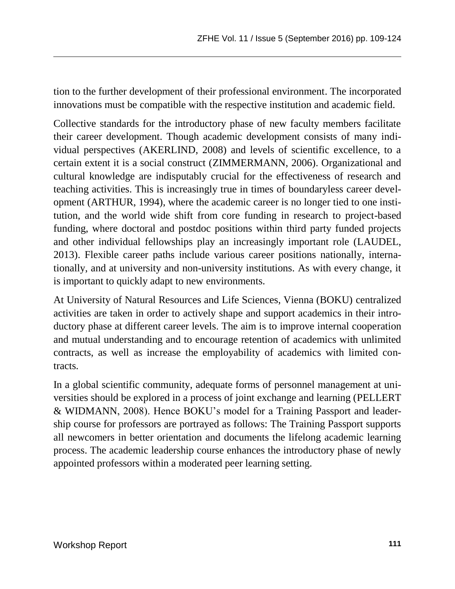tion to the further development of their professional environment. The incorporated innovations must be compatible with the respective institution and academic field.

Collective standards for the introductory phase of new faculty members facilitate their career development. Though academic development consists of many individual perspectives (AKERLIND, 2008) and levels of scientific excellence, to a certain extent it is a social construct (ZIMMERMANN, 2006). Organizational and cultural knowledge are indisputably crucial for the effectiveness of research and teaching activities. This is increasingly true in times of boundaryless career development (ARTHUR, 1994), where the academic career is no longer tied to one institution, and the world wide shift from core funding in research to project-based funding, where doctoral and postdoc positions within third party funded projects and other individual fellowships play an increasingly important role (LAUDEL, 2013). Flexible career paths include various career positions nationally, internationally, and at university and non-university institutions. As with every change, it is important to quickly adapt to new environments.

At University of Natural Resources and Life Sciences, Vienna (BOKU) centralized activities are taken in order to actively shape and support academics in their introductory phase at different career levels. The aim is to improve internal cooperation and mutual understanding and to encourage retention of academics with unlimited contracts, as well as increase the employability of academics with limited contracts.

In a global scientific community, adequate forms of personnel management at universities should be explored in a process of joint exchange and learning (PELLERT & WIDMANN, 2008). Hence BOKU's model for a Training Passport and leadership course for professors are portrayed as follows: The Training Passport supports all newcomers in better orientation and documents the lifelong academic learning process. The academic leadership course enhances the introductory phase of newly appointed professors within a moderated peer learning setting.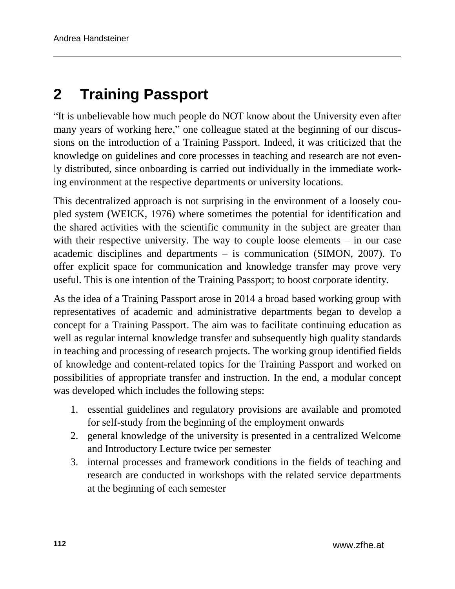# **2 Training Passport**

"It is unbelievable how much people do NOT know about the University even after many years of working here," one colleague stated at the beginning of our discussions on the introduction of a Training Passport. Indeed, it was criticized that the knowledge on guidelines and core processes in teaching and research are not evenly distributed, since onboarding is carried out individually in the immediate working environment at the respective departments or university locations.

This decentralized approach is not surprising in the environment of a loosely coupled system (WEICK, 1976) where sometimes the potential for identification and the shared activities with the scientific community in the subject are greater than with their respective university. The way to couple loose elements – in our case academic disciplines and departments – is communication (SIMON, 2007). To offer explicit space for communication and knowledge transfer may prove very useful. This is one intention of the Training Passport; to boost corporate identity.

As the idea of a Training Passport arose in 2014 a broad based working group with representatives of academic and administrative departments began to develop a concept for a Training Passport. The aim was to facilitate continuing education as well as regular internal knowledge transfer and subsequently high quality standards in teaching and processing of research projects. The working group identified fields of knowledge and content-related topics for the Training Passport and worked on possibilities of appropriate transfer and instruction. In the end, a modular concept was developed which includes the following steps:

- 1. essential guidelines and regulatory provisions are available and promoted for self-study from the beginning of the employment onwards
- 2. general knowledge of the university is presented in a centralized Welcome and Introductory Lecture twice per semester
- 3. internal processes and framework conditions in the fields of teaching and research are conducted in workshops with the related service departments at the beginning of each semester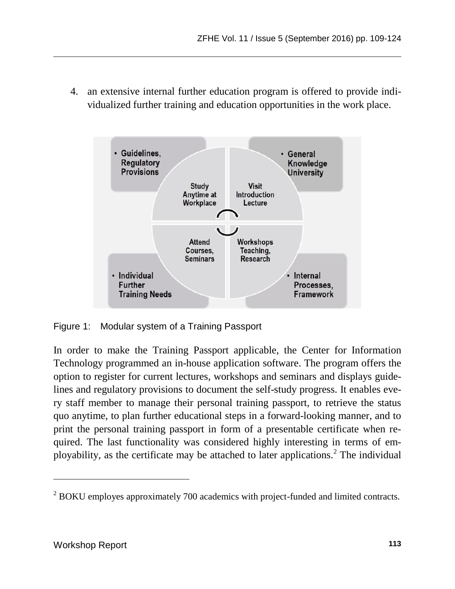4. an extensive internal further education program is offered to provide individualized further training and education opportunities in the work place.



Figure 1: Modular system of a Training Passport

In order to make the Training Passport applicable, the Center for Information Technology programmed an in-house application software. The program offers the option to register for current lectures, workshops and seminars and displays guidelines and regulatory provisions to document the self-study progress. It enables every staff member to manage their personal training passport, to retrieve the status quo anytime, to plan further educational steps in a forward-looking manner, and to print the personal training passport in form of a presentable certificate when required. The last functionality was considered highly interesting in terms of employability, as the certificate may be attached to later applications.<sup>2</sup> The individual

l

<sup>&</sup>lt;sup>2</sup> BOKU employes approximately 700 academics with project-funded and limited contracts.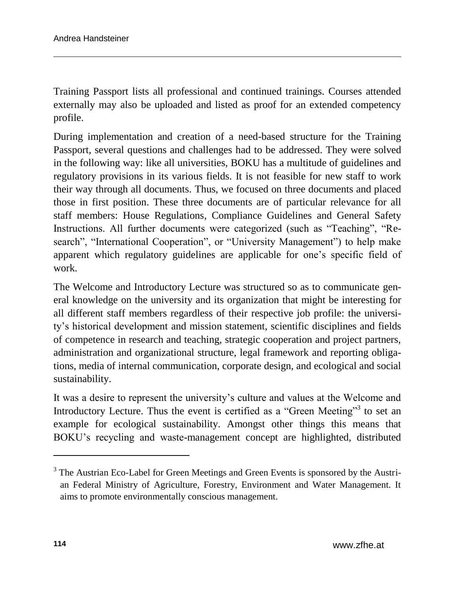Training Passport lists all professional and continued trainings. Courses attended externally may also be uploaded and listed as proof for an extended competency profile.

During implementation and creation of a need-based structure for the Training Passport, several questions and challenges had to be addressed. They were solved in the following way: like all universities, BOKU has a multitude of guidelines and regulatory provisions in its various fields. It is not feasible for new staff to work their way through all documents. Thus, we focused on three documents and placed those in first position. These three documents are of particular relevance for all staff members: House Regulations, Compliance Guidelines and General Safety Instructions. All further documents were categorized (such as "Teaching", "Research", "International Cooperation", or "University Management") to help make apparent which regulatory guidelines are applicable for one's specific field of work.

The Welcome and Introductory Lecture was structured so as to communicate general knowledge on the university and its organization that might be interesting for all different staff members regardless of their respective job profile: the university's historical development and mission statement, scientific disciplines and fields of competence in research and teaching, strategic cooperation and project partners, administration and organizational structure, legal framework and reporting obligations, media of internal communication, corporate design, and ecological and social sustainability.

It was a desire to represent the university's culture and values at the Welcome and Introductory Lecture. Thus the event is certified as a "Green Meeting"<sup>3</sup> to set an example for ecological sustainability. Amongst other things this means that BOKU's recycling and waste-management concept are highlighted, distributed

l

<sup>&</sup>lt;sup>3</sup> The Austrian Eco-Label for Green Meetings and Green Events is sponsored by the Austrian Federal Ministry of Agriculture, Forestry, Environment and Water Management. It aims to promote environmentally conscious management.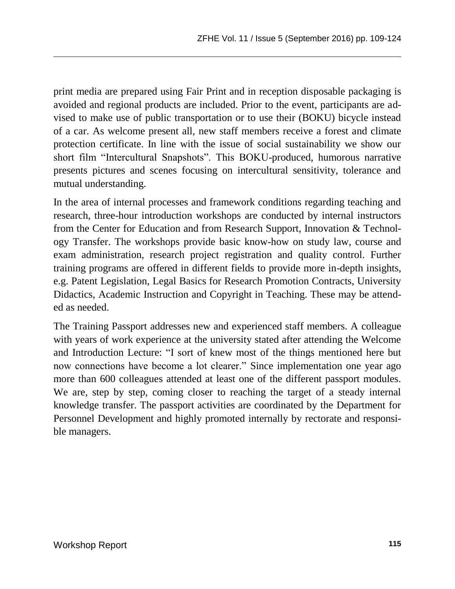print media are prepared using Fair Print and in reception disposable packaging is avoided and regional products are included. Prior to the event, participants are advised to make use of public transportation or to use their (BOKU) bicycle instead of a car. As welcome present all, new staff members receive a forest and climate protection certificate. In line with the issue of social sustainability we show our short film "Intercultural Snapshots". This BOKU-produced, humorous narrative presents pictures and scenes focusing on intercultural sensitivity, tolerance and mutual understanding.

In the area of internal processes and framework conditions regarding teaching and research, three-hour introduction workshops are conducted by internal instructors from the Center for Education and from Research Support, Innovation & Technology Transfer. The workshops provide basic know-how on study law, course and exam administration, research project registration and quality control. Further training programs are offered in different fields to provide more in-depth insights, e.g. Patent Legislation, Legal Basics for Research Promotion Contracts, University Didactics, Academic Instruction and Copyright in Teaching. These may be attended as needed.

The Training Passport addresses new and experienced staff members. A colleague with years of work experience at the university stated after attending the Welcome and Introduction Lecture: "I sort of knew most of the things mentioned here but now connections have become a lot clearer." Since implementation one year ago more than 600 colleagues attended at least one of the different passport modules. We are, step by step, coming closer to reaching the target of a steady internal knowledge transfer. The passport activities are coordinated by the Department for Personnel Development and highly promoted internally by rectorate and responsible managers.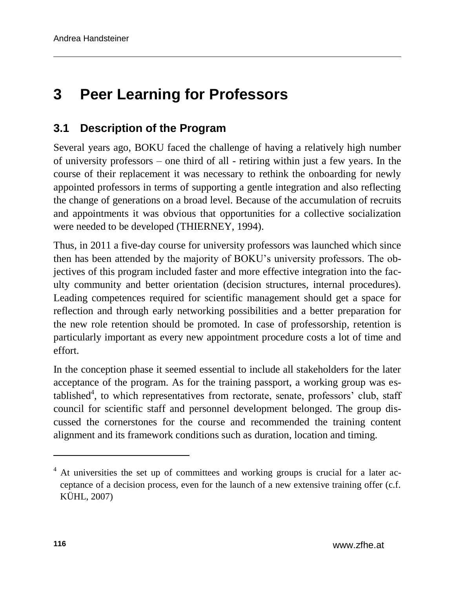# **3 Peer Learning for Professors**

### **3.1 Description of the Program**

Several years ago, BOKU faced the challenge of having a relatively high number of university professors – one third of all - retiring within just a few years. In the course of their replacement it was necessary to rethink the onboarding for newly appointed professors in terms of supporting a gentle integration and also reflecting the change of generations on a broad level. Because of the accumulation of recruits and appointments it was obvious that opportunities for a collective socialization were needed to be developed (THIERNEY, 1994).

Thus, in 2011 a five-day course for university professors was launched which since then has been attended by the majority of BOKU's university professors. The objectives of this program included faster and more effective integration into the faculty community and better orientation (decision structures, internal procedures). Leading competences required for scientific management should get a space for reflection and through early networking possibilities and a better preparation for the new role retention should be promoted. In case of professorship, retention is particularly important as every new appointment procedure costs a lot of time and effort.

In the conception phase it seemed essential to include all stakeholders for the later acceptance of the program. As for the training passport, a working group was established<sup>4</sup>, to which representatives from rectorate, senate, professors' club, staff council for scientific staff and personnel development belonged. The group discussed the cornerstones for the course and recommended the training content alignment and its framework conditions such as duration, location and timing.

l

<sup>&</sup>lt;sup>4</sup> At universities the set up of committees and working groups is crucial for a later acceptance of a decision process, even for the launch of a new extensive training offer (c.f. KÜHL, 2007)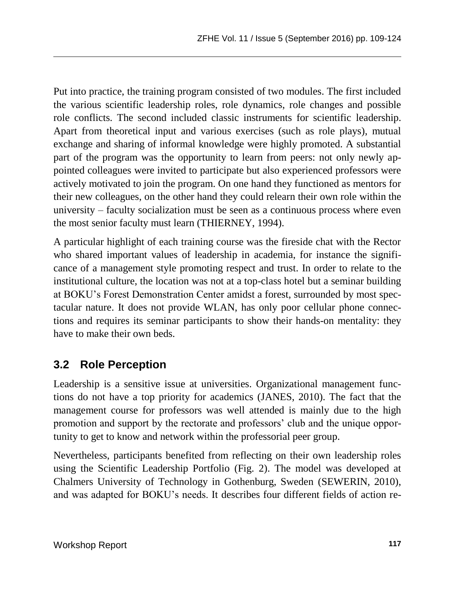Put into practice, the training program consisted of two modules. The first included the various scientific leadership roles, role dynamics, role changes and possible role conflicts. The second included classic instruments for scientific leadership. Apart from theoretical input and various exercises (such as role plays), mutual exchange and sharing of informal knowledge were highly promoted. A substantial part of the program was the opportunity to learn from peers: not only newly appointed colleagues were invited to participate but also experienced professors were actively motivated to join the program. On one hand they functioned as mentors for their new colleagues, on the other hand they could relearn their own role within the university – faculty socialization must be seen as a continuous process where even the most senior faculty must learn (THIERNEY, 1994).

A particular highlight of each training course was the fireside chat with the Rector who shared important values of leadership in academia, for instance the significance of a management style promoting respect and trust. In order to relate to the institutional culture, the location was not at a top-class hotel but a seminar building at BOKU's Forest Demonstration Center amidst a forest, surrounded by most spectacular nature. It does not provide WLAN, has only poor cellular phone connections and requires its seminar participants to show their hands-on mentality: they have to make their own beds.

### **3.2 Role Perception**

Leadership is a sensitive issue at universities. Organizational management functions do not have a top priority for academics (JANES, 2010). The fact that the management course for professors was well attended is mainly due to the high promotion and support by the rectorate and professors' club and the unique opportunity to get to know and network within the professorial peer group.

Nevertheless, participants benefited from reflecting on their own leadership roles using the Scientific Leadership Portfolio (Fig. 2). The model was developed at Chalmers University of Technology in Gothenburg, Sweden (SEWERIN, 2010), and was adapted for BOKU's needs. It describes four different fields of action re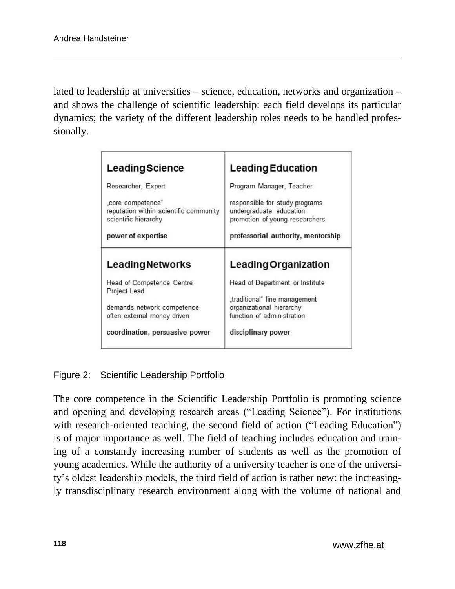lated to leadership at universities – science, education, networks and organization – and shows the challenge of scientific leadership: each field develops its particular dynamics; the variety of the different leadership roles needs to be handled professionally.

| <b>Leading Science</b>                                                              | <b>Leading Education</b>                                                                    |
|-------------------------------------------------------------------------------------|---------------------------------------------------------------------------------------------|
| Researcher, Expert                                                                  | Program Manager, Teacher                                                                    |
| "core competence"<br>reputation within scientific community<br>scientific hierarchy | responsible for study programs<br>undergraduate education<br>promotion of young researchers |
| power of expertise                                                                  | professorial authority, mentorship                                                          |
| <b>Leading Networks</b>                                                             | <b>Leading Organization</b>                                                                 |
| Head of Competence Centre<br>Project Lead                                           | Head of Department or Institute                                                             |
| demands network competence<br>often external money driven                           | "traditional" line management<br>organizational hierarchy<br>function of administration     |
| coordination, persuasive power                                                      | disciplinary power                                                                          |

#### Figure 2: Scientific Leadership Portfolio

The core competence in the Scientific Leadership Portfolio is promoting science and opening and developing research areas ("Leading Science"). For institutions with research-oriented teaching, the second field of action ("Leading Education") is of major importance as well. The field of teaching includes education and training of a constantly increasing number of students as well as the promotion of young academics. While the authority of a university teacher is one of the university's oldest leadership models, the third field of action is rather new: the increasingly transdisciplinary research environment along with the volume of national and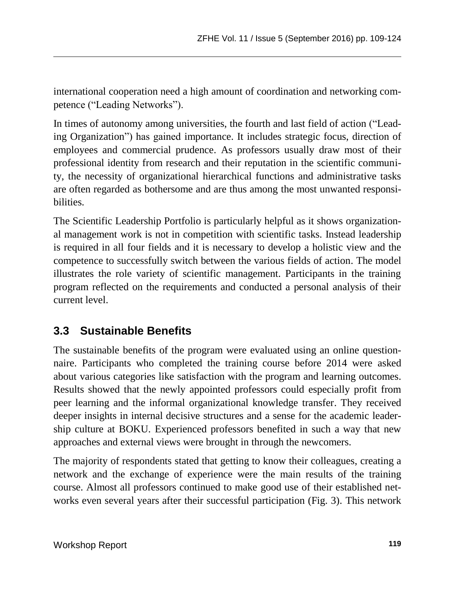international cooperation need a high amount of coordination and networking competence ("Leading Networks").

In times of autonomy among universities, the fourth and last field of action ("Leading Organization") has gained importance. It includes strategic focus, direction of employees and commercial prudence. As professors usually draw most of their professional identity from research and their reputation in the scientific community, the necessity of organizational hierarchical functions and administrative tasks are often regarded as bothersome and are thus among the most unwanted responsibilities.

The Scientific Leadership Portfolio is particularly helpful as it shows organizational management work is not in competition with scientific tasks. Instead leadership is required in all four fields and it is necessary to develop a holistic view and the competence to successfully switch between the various fields of action. The model illustrates the role variety of scientific management. Participants in the training program reflected on the requirements and conducted a personal analysis of their current level.

### **3.3 Sustainable Benefits**

The sustainable benefits of the program were evaluated using an online questionnaire. Participants who completed the training course before 2014 were asked about various categories like satisfaction with the program and learning outcomes. Results showed that the newly appointed professors could especially profit from peer learning and the informal organizational knowledge transfer. They received deeper insights in internal decisive structures and a sense for the academic leadership culture at BOKU. Experienced professors benefited in such a way that new approaches and external views were brought in through the newcomers.

The majority of respondents stated that getting to know their colleagues, creating a network and the exchange of experience were the main results of the training course. Almost all professors continued to make good use of their established networks even several years after their successful participation (Fig. 3). This network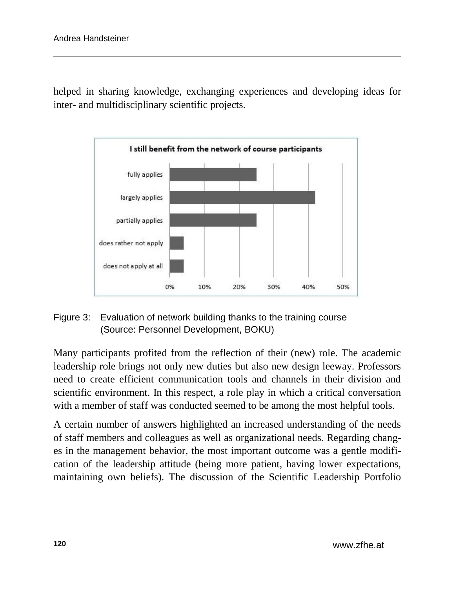helped in sharing knowledge, exchanging experiences and developing ideas for inter- and multidisciplinary scientific projects.



#### Figure 3: Evaluation of network building thanks to the training course (Source: Personnel Development, BOKU)

Many participants profited from the reflection of their (new) role. The academic leadership role brings not only new duties but also new design leeway. Professors need to create efficient communication tools and channels in their division and scientific environment. In this respect, a role play in which a critical conversation with a member of staff was conducted seemed to be among the most helpful tools.

A certain number of answers highlighted an increased understanding of the needs of staff members and colleagues as well as organizational needs. Regarding changes in the management behavior, the most important outcome was a gentle modification of the leadership attitude (being more patient, having lower expectations, maintaining own beliefs). The discussion of the Scientific Leadership Portfolio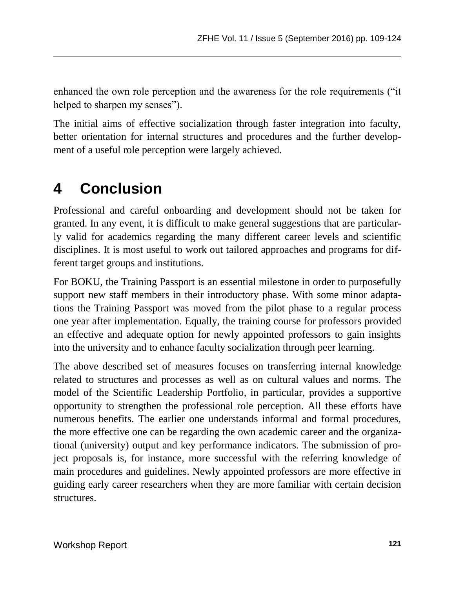enhanced the own role perception and the awareness for the role requirements ("it helped to sharpen my senses").

The initial aims of effective socialization through faster integration into faculty, better orientation for internal structures and procedures and the further development of a useful role perception were largely achieved.

## **4 Conclusion**

Professional and careful onboarding and development should not be taken for granted. In any event, it is difficult to make general suggestions that are particularly valid for academics regarding the many different career levels and scientific disciplines. It is most useful to work out tailored approaches and programs for different target groups and institutions.

For BOKU, the Training Passport is an essential milestone in order to purposefully support new staff members in their introductory phase. With some minor adaptations the Training Passport was moved from the pilot phase to a regular process one year after implementation. Equally, the training course for professors provided an effective and adequate option for newly appointed professors to gain insights into the university and to enhance faculty socialization through peer learning.

The above described set of measures focuses on transferring internal knowledge related to structures and processes as well as on cultural values and norms. The model of the Scientific Leadership Portfolio, in particular, provides a supportive opportunity to strengthen the professional role perception. All these efforts have numerous benefits. The earlier one understands informal and formal procedures, the more effective one can be regarding the own academic career and the organizational (university) output and key performance indicators. The submission of project proposals is, for instance, more successful with the referring knowledge of main procedures and guidelines. Newly appointed professors are more effective in guiding early career researchers when they are more familiar with certain decision structures.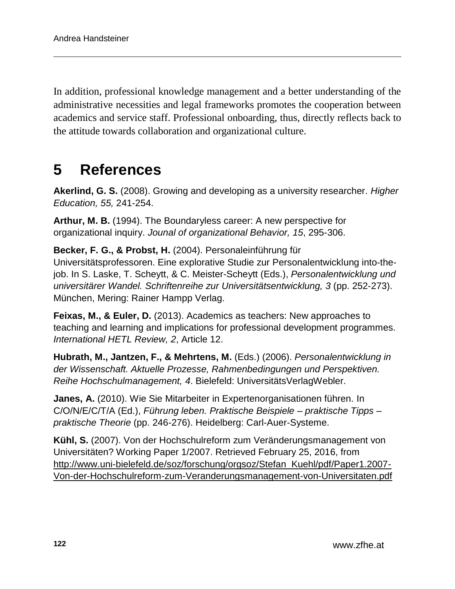In addition, professional knowledge management and a better understanding of the administrative necessities and legal frameworks promotes the cooperation between academics and service staff. Professional onboarding, thus, directly reflects back to the attitude towards collaboration and organizational culture.

## **5 References**

**Akerlind, G. S.** (2008). Growing and developing as a university researcher. *Higher Education, 55,* 241-254.

**Arthur, M. B.** (1994). The Boundaryless career: A new perspective for organizational inquiry. *Jounal of organizational Behavior, 15*, 295-306.

**Becker, F. G., & Probst, H.** (2004). Personaleinführung für Universitätsprofessoren. Eine explorative Studie zur Personalentwicklung into-thejob. In S. Laske, T. Scheytt, & C. Meister-Scheytt (Eds.), *Personalentwicklung und universitärer Wandel. Schriftenreihe zur Universitätsentwicklung, 3* (pp. 252-273). München, Mering: Rainer Hampp Verlag.

**Feixas, M., & Euler, D.** (2013). Academics as teachers: New approaches to teaching and learning and implications for professional development programmes. *International HETL Review, 2*, Article 12.

**Hubrath, M., Jantzen, F., & Mehrtens, M.** (Eds.) (2006). *Personalentwicklung in der Wissenschaft. Aktuelle Prozesse, Rahmenbedingungen und Perspektiven. Reihe Hochschulmanagement, 4*. Bielefeld: UniversitätsVerlagWebler.

**Janes, A.** (2010). Wie Sie Mitarbeiter in Expertenorganisationen führen. In C/O/N/E/C/T/A (Ed.), *[Führung leben. Praktische Beispiele –](http://www.conecta.com/wp-content/uploads/Folder_Conecta_Fuehrung_4_10.pdf) praktische Tipps – [praktische Theorie](http://www.conecta.com/wp-content/uploads/Folder_Conecta_Fuehrung_4_10.pdf)* (pp. 246-276). Heidelberg: Carl-Auer-Systeme.

**Kühl, S.** (2007). Von der Hochschulreform zum Veränderungsmanagement von Universitäten? Working Paper 1/2007. Retrieved February 25, 2016, from [http://www.uni-bielefeld.de/soz/forschung/orgsoz/Stefan\\_Kuehl/pdf/Paper1.2007-](http://www.uni-bielefeld.de/soz/forschung/orgsoz/Stefan_Kuehl/pdf/Paper1.2007-Von-der-Hochschulreform-zum-Veranderungsmanagement-von-Universitaten.pdf) [Von-der-Hochschulreform-zum-Veranderungsmanagement-von-Universitaten.pdf](http://www.uni-bielefeld.de/soz/forschung/orgsoz/Stefan_Kuehl/pdf/Paper1.2007-Von-der-Hochschulreform-zum-Veranderungsmanagement-von-Universitaten.pdf)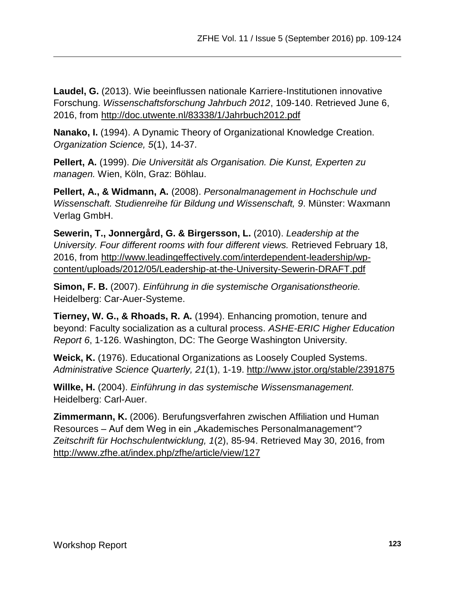**Laudel, G.** (2013). Wie beeinflussen nationale Karriere-Institutionen innovative Forschung. *Wissenschaftsforschung Jahrbuch 2012*, 109-140. Retrieved June 6, 2016, from<http://doc.utwente.nl/83338/1/Jahrbuch2012.pdf>

**Nanako, I.** (1994). A Dynamic Theory of Organizational Knowledge Creation. *Organization Science, 5*(1), 14-37.

**Pellert, A.** (1999). *Die Universität als Organisation. Die Kunst, Experten zu managen.* Wien, Köln, Graz: Böhlau.

**Pellert, A., & Widmann, A.** (2008). *Personalmanagement in Hochschule und Wissenschaft. Studienreihe für Bildung und Wissenschaft, 9*. Münster: Waxmann Verlag GmbH.

**Sewerin, T., Jonnergård, G. & Birgersson, L.** (2010). *Leadership at the University. Four different rooms with four different views.* Retrieved February 18, 2016, from [http://www.leadingeffectively.com/interdependent-leadership/wp](http://www.leadingeffectively.com/interdependent-leadership/wp-content/uploads/2012/05/Leadership-at-the-University-Sewerin-DRAFT.pdf)[content/uploads/2012/05/Leadership-at-the-University-Sewerin-DRAFT.pdf](http://www.leadingeffectively.com/interdependent-leadership/wp-content/uploads/2012/05/Leadership-at-the-University-Sewerin-DRAFT.pdf)

**Simon, F. B.** (2007). *Einführung in die systemische Organisationstheorie.* Heidelberg: Car-Auer-Systeme.

**Tierney, W. G., & Rhoads, R. A.** (1994). Enhancing promotion, tenure and beyond: Faculty socialization as a cultural process. *ASHE-ERIC Higher Education Report 6*, 1-126. Washington, DC: The George Washington University.

**Weick, K.** (1976). Educational Organizations as Loosely Coupled Systems. *Administrative Science Quarterly, 21*(1), 1-19.<http://www.jstor.org/stable/2391875>

**Willke, H.** (2004). *Einführung in das systemische Wissensmanagement.* Heidelberg: Carl-Auer.

**Zimmermann, K.** (2006). Berufungsverfahren zwischen Affiliation und Human Resources – Auf dem Weg in ein "Akademisches Personalmanagement"? *Zeitschrift für Hochschulentwicklung, 1*(2), 85-94. Retrieved May 30, 2016, from <http://www.zfhe.at/index.php/zfhe/article/view/127>